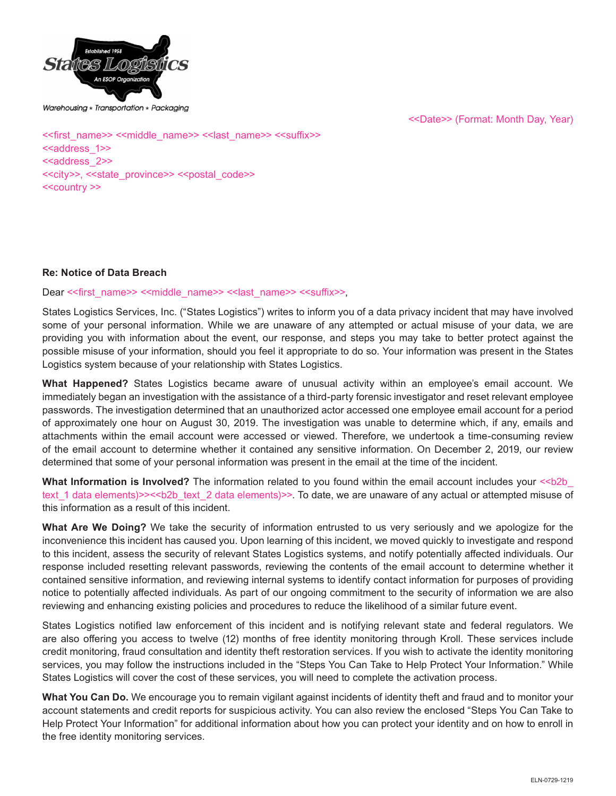

Warehousing  $\star$  Transportation  $\star$  Packaging

<<Date>> (Format: Month Day, Year)

<<first\_name>> <<middle\_name>> <<last\_name>> <<suffix>> <<aaddress\_1>> <<address 2>> <<city>>, <<state\_province>> <<postal\_code>> <<country >>

#### **Re: Notice of Data Breach**

Dear << first\_name>> <<middle\_name>> << last\_name>> <<suffix>>,

States Logistics Services, Inc. ("States Logistics") writes to inform you of a data privacy incident that may have involved some of your personal information. While we are unaware of any attempted or actual misuse of your data, we are providing you with information about the event, our response, and steps you may take to better protect against the possible misuse of your information, should you feel it appropriate to do so. Your information was present in the States Logistics system because of your relationship with States Logistics.

**What Happened?** States Logistics became aware of unusual activity within an employee's email account. We immediately began an investigation with the assistance of a third-party forensic investigator and reset relevant employee passwords. The investigation determined that an unauthorized actor accessed one employee email account for a period of approximately one hour on August 30, 2019. The investigation was unable to determine which, if any, emails and attachments within the email account were accessed or viewed. Therefore, we undertook a time-consuming review of the email account to determine whether it contained any sensitive information. On December 2, 2019, our review determined that some of your personal information was present in the email at the time of the incident.

**What Information is Involved?** The information related to you found within the email account includes your <<br/>b2b text 1 data elements)>><<br/>b $\leq$  text 2 data elements)>>. To date, we are unaware of any actual or attempted misuse of this information as a result of this incident.

**What Are We Doing?** We take the security of information entrusted to us very seriously and we apologize for the inconvenience this incident has caused you. Upon learning of this incident, we moved quickly to investigate and respond to this incident, assess the security of relevant States Logistics systems, and notify potentially affected individuals. Our response included resetting relevant passwords, reviewing the contents of the email account to determine whether it contained sensitive information, and reviewing internal systems to identify contact information for purposes of providing notice to potentially affected individuals. As part of our ongoing commitment to the security of information we are also reviewing and enhancing existing policies and procedures to reduce the likelihood of a similar future event.

States Logistics notified law enforcement of this incident and is notifying relevant state and federal regulators. We are also offering you access to twelve (12) months of free identity monitoring through Kroll. These services include credit monitoring, fraud consultation and identity theft restoration services. If you wish to activate the identity monitoring services, you may follow the instructions included in the "Steps You Can Take to Help Protect Your Information." While States Logistics will cover the cost of these services, you will need to complete the activation process.

**What You Can Do.** We encourage you to remain vigilant against incidents of identity theft and fraud and to monitor your account statements and credit reports for suspicious activity. You can also review the enclosed "Steps You Can Take to Help Protect Your Information" for additional information about how you can protect your identity and on how to enroll in the free identity monitoring services.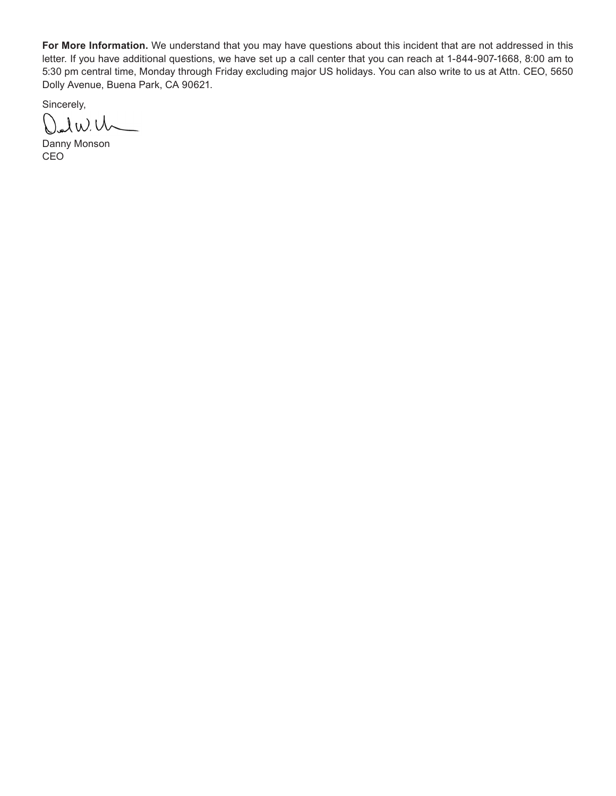**For More Information.** We understand that you may have questions about this incident that are not addressed in this letter. If you have additional questions, we have set up a call center that you can reach at 1-844-907-1668, 8:00 am to 5:30 pm central time, Monday through Friday excluding major US holidays. You can also write to us at Attn. CEO, 5650 Dolly Avenue, Buena Park, CA 90621.

Sincerely,

Dalwich

Danny Monson CEO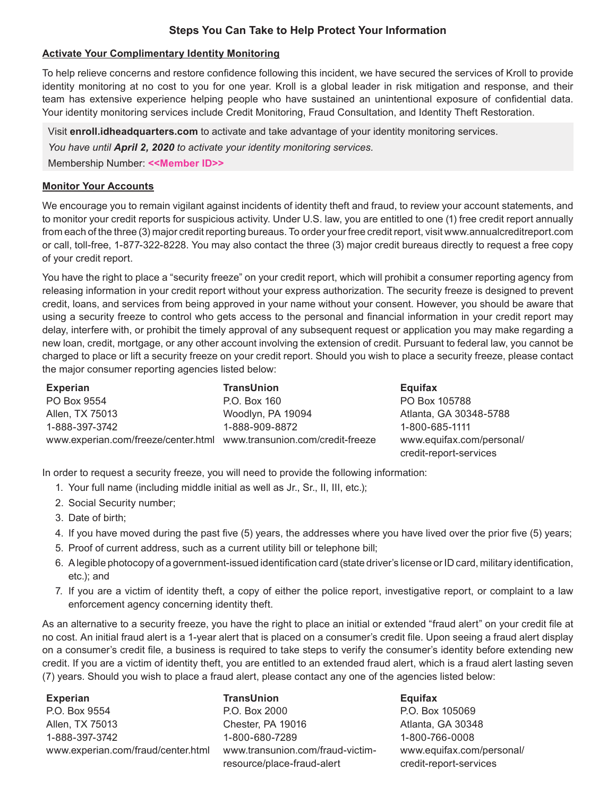# **Steps You Can Take to Help Protect Your Information**

# **Activate Your Complimentary Identity Monitoring**

To help relieve concerns and restore confidence following this incident, we have secured the services of Kroll to provide identity monitoring at no cost to you for one year. Kroll is a global leader in risk mitigation and response, and their team has extensive experience helping people who have sustained an unintentional exposure of confidential data. Your identity monitoring services include Credit Monitoring, Fraud Consultation, and Identity Theft Restoration.

Visit **enroll.idheadquarters.com** to activate and take advantage of your identity monitoring services.

*You have until April 2, 2020 to activate your identity monitoring services.*

Membership Number: **<<Member ID>>**

# **Monitor Your Accounts**

We encourage you to remain vigilant against incidents of identity theft and fraud, to review your account statements, and to monitor your credit reports for suspicious activity. Under U.S. law, you are entitled to one (1) free credit report annually from each of the three (3) major credit reporting bureaus. To order your free credit report, visit www.annualcreditreport.com or call, toll-free, 1-877-322-8228. You may also contact the three (3) major credit bureaus directly to request a free copy of your credit report.

You have the right to place a "security freeze" on your credit report, which will prohibit a consumer reporting agency from releasing information in your credit report without your express authorization. The security freeze is designed to prevent credit, loans, and services from being approved in your name without your consent. However, you should be aware that using a security freeze to control who gets access to the personal and financial information in your credit report may delay, interfere with, or prohibit the timely approval of any subsequent request or application you may make regarding a new loan, credit, mortgage, or any other account involving the extension of credit. Pursuant to federal law, you cannot be charged to place or lift a security freeze on your credit report. Should you wish to place a security freeze, please contact the major consumer reporting agencies listed below:

| <b>Experian</b>                                                      | <b>TransUnion</b> | Equifax                   |
|----------------------------------------------------------------------|-------------------|---------------------------|
| PO Box 9554                                                          | P.O. Box 160      | PO Box 105788             |
| Allen, TX 75013                                                      | Woodlyn, PA 19094 | Atlanta, GA 30348-5788    |
| 1-888-397-3742                                                       | 1-888-909-8872    | 1-800-685-1111            |
| www.experian.com/freeze/center.html www.transunion.com/credit-freeze |                   | www.equifax.com/personal/ |
|                                                                      |                   | credit-report-services    |

In order to request a security freeze, you will need to provide the following information:

- 1. Your full name (including middle initial as well as Jr., Sr., II, III, etc.);
- 2. Social Security number;
- 3. Date of birth;
- 4. If you have moved during the past five (5) years, the addresses where you have lived over the prior five (5) years;
- 5. Proof of current address, such as a current utility bill or telephone bill;
- 6. A legible photocopy of a government-issued identification card (state driver's license or ID card, military identification, etc.); and
- 7. If you are a victim of identity theft, a copy of either the police report, investigative report, or complaint to a law enforcement agency concerning identity theft.

As an alternative to a security freeze, you have the right to place an initial or extended "fraud alert" on your credit file at no cost. An initial fraud alert is a 1-year alert that is placed on a consumer's credit file. Upon seeing a fraud alert display on a consumer's credit file, a business is required to take steps to verify the consumer's identity before extending new credit. If you are a victim of identity theft, you are entitled to an extended fraud alert, which is a fraud alert lasting seven (7) years. Should you wish to place a fraud alert, please contact any one of the agencies listed below:

**Experian** P.O. Box 9554 Allen, TX 75013 1-888-397-3742 www.experian.com/fraud/center.html

**TransUnion** P.O. Box 2000 Chester, PA 19016 1-800-680-7289 www.transunion.com/fraud-victimresource/place-fraud-alert

**Equifax** P.O. Box 105069 Atlanta, GA 30348 1-800-766-0008 www.equifax.com/personal/ credit-report-services